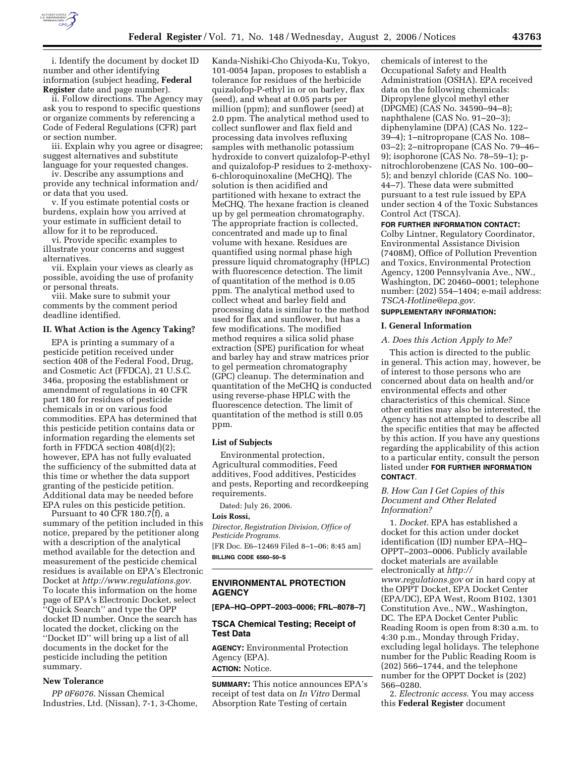

i. Identify the document by docket ID number and other identifying information (subject heading, **Federal Register** date and page number).

ii. Follow directions. The Agency may ask you to respond to specific questions or organize comments by referencing a Code of Federal Regulations (CFR) part or section number.

iii. Explain why you agree or disagree; suggest alternatives and substitute language for your requested changes.

iv. Describe any assumptions and provide any technical information and/ or data that you used.

v. If you estimate potential costs or burdens, explain how you arrived at your estimate in sufficient detail to allow for it to be reproduced.

vi. Provide specific examples to illustrate your concerns and suggest alternatives.

vii. Explain your views as clearly as possible, avoiding the use of profanity or personal threats.

viii. Make sure to submit your comments by the comment period deadline identified.

### **II. What Action is the Agency Taking?**

EPA is printing a summary of a pesticide petition received under section 408 of the Federal Food, Drug, and Cosmetic Act (FFDCA), 21 U.S.C. 346a, proposing the establishment or amendment of regulations in 40 CFR part 180 for residues of pesticide chemicals in or on various food commodities. EPA has determined that this pesticide petition contains data or information regarding the elements set forth in FFDCA section 408(d)(2); however, EPA has not fully evaluated the sufficiency of the submitted data at this time or whether the data support granting of the pesticide petition. Additional data may be needed before EPA rules on this pesticide petition.

Pursuant to 40  $CFR$  180.7 $(f)$ , a summary of the petition included in this notice, prepared by the petitioner along with a description of the analytical method available for the detection and measurement of the pesticide chemical residues is available on EPA's Electronic Docket at *http://www.regulations.gov*. To locate this information on the home page of EPA's Electronic Docket, select ''Quick Search'' and type the OPP docket ID number. Once the search has located the docket, clicking on the ''Docket ID'' will bring up a list of all documents in the docket for the pesticide including the petition summary.

## **New Tolerance**

*PP 0F6076*. Nissan Chemical Industries, Ltd. (Nissan), 7-1, 3-Chome,

Kanda-Nishiki-Cho Chiyoda-Ku, Tokyo, 101-0054 Japan, proposes to establish a tolerance for residues of the herbicide quizalofop-P-ethyl in or on barley, flax (seed), and wheat at 0.05 parts per million (ppm); and sunflower (seed) at 2.0 ppm. The analytical method used to collect sunflower and flax field and processing data involves refluxing samples with methanolic potassium hydroxide to convert quizalofop-P-ethyl and quizalofop-P residues to 2-methoxy-6-chloroquinoxaline (MeCHQ). The solution is then acidified and partitioned with hexane to extract the MeCHQ. The hexane fraction is cleaned up by gel permeation chromatography. The appropriate fraction is collected, concentrated and made up to final volume with hexane. Residues are quantified using normal phase high pressure liquid chromatography (HPLC) with fluorescence detection. The limit of quantitation of the method is 0.05 ppm. The analytical method used to collect wheat and barley field and processing data is similar to the method used for flax and sunflower, but has a few modifications. The modified method requires a silica solid phase extraction (SPE) purification for wheat and barley hay and straw matrices prior to gel permeation chromatography (GPC) cleanup. The determination and quantitation of the MeCHQ is conducted using reverse-phase HPLC with the fluorescence detection. The limit of quantitation of the method is still 0.05 ppm.

### **List of Subjects**

Environmental protection, Agricultural commodities, Feed additives, Food additives, Pesticides and pests, Reporting and recordkeeping requirements.

Dated: July 26, 2006.

### **Lois Rossi,**

*Director, Registration Division, Office of Pesticide Programs.* 

[FR Doc. E6–12469 Filed 8–1–06; 8:45 am] **BILLING CODE 6560–50–S** 

### **ENVIRONMENTAL PROTECTION AGENCY**

**[EPA–HQ–OPPT–2003–0006; FRL–8078–7]** 

### **TSCA Chemical Testing; Receipt of Test Data**

**AGENCY:** Environmental Protection Agency (EPA).

**ACTION:** Notice.

**SUMMARY:** This notice announces EPA's receipt of test data on *In Vitro* Dermal Absorption Rate Testing of certain

chemicals of interest to the Occupational Safety and Health Administration (OSHA). EPA received data on the following chemicals: Dipropylene glycol methyl ether (DPGME) (CAS No. 34590–94–8); naphthalene (CAS No. 91–20–3); diphenylamine (DPA) (CAS No. 122– 39–4); 1–nitropropane (CAS No. 108– 03–2); 2–nitropropane (CAS No. 79–46– 9); isophorone (CAS No. 78–59–1); pnitrochlorobenzene (CAS No. 100–00– 5); and benzyl chloride (CAS No. 100– 44–7). These data were submitted pursuant to a test rule issued by EPA under section 4 of the Toxic Substances Control Act (TSCA).

#### **FOR FURTHER INFORMATION CONTACT:**

Colby Lintner, Regulatory Coordinator, Environmental Assistance Division (7408M), Office of Pollution Prevention and Toxics, Environmental Protection Agency, 1200 Pennsylvania Ave., NW., Washington, DC 20460–0001; telephone number: (202) 554–1404; e-mail address: *TSCA-Hotline@epa.gov*.

# **SUPPLEMENTARY INFORMATION:**

## **I. General Information**

### *A. Does this Action Apply to Me?*

This action is directed to the public in general. This action may, however, be of interest to those persons who are concerned about data on health and/or environmental effects and other characteristics of this chemical. Since other entities may also be interested, the Agency has not attempted to describe all the specific entities that may be affected by this action. If you have any questions regarding the applicability of this action to a particular entity, consult the person listed under **FOR FURTHER INFORMATION CONTACT**.

### *B. How Can I Get Copies of this Document and Other Related Information?*

1. *Docket.* EPA has established a docket for this action under docket identification (ID) number EPA–HQ– OPPT–2003–0006. Publicly available docket materials are available electronically at *http:// www.regulations.gov* or in hard copy at the OPPT Docket, EPA Docket Center (EPA/DC), EPA West, Room B102, 1301 Constitution Ave., NW., Washington, DC. The EPA Docket Center Public Reading Room is open from 8:30 a.m. to 4:30 p.m., Monday through Friday, excluding legal holidays. The telephone number for the Public Reading Room is (202) 566–1744, and the telephone number for the OPPT Docket is (202) 566–0280.

2. *Electronic access*. You may access this **Federal Register** document